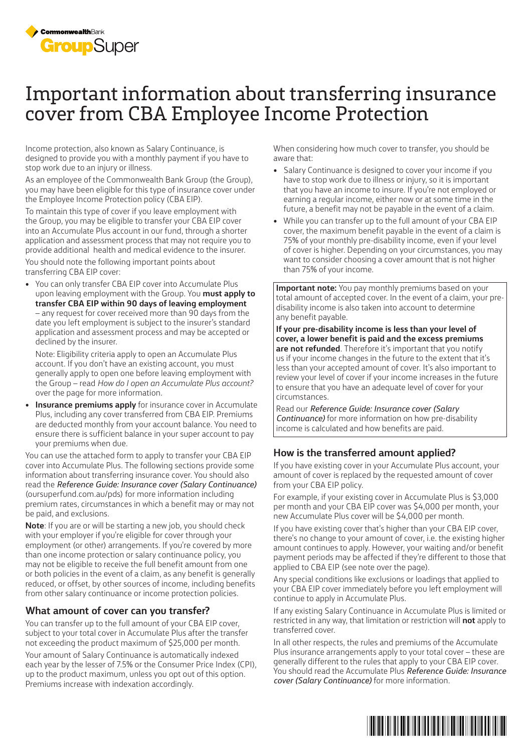

## Important information about transferring insurance cover from CBA Employee Income Protection

Income protection, also known as Salary Continuance, is designed to provide you with a monthly payment if you have to stop work due to an injury or illness.

As an employee of the Commonwealth Bank Group (the Group), you may have been eligible for this type of insurance cover under the Employee Income Protection policy (CBA EIP).

To maintain this type of cover if you leave employment with the Group, you may be eligible to transfer your CBA EIP cover into an Accumulate Plus account in our fund, through a shorter application and assessment process that may not require you to provide additional health and medical evidence to the insurer.

You should note the following important points about transferring CBA EIP cover:

• You can only transfer CBA EIP cover into Accumulate Plus upon leaving employment with the Group. You **must apply to transfer CBA EIP within 90 days of leaving employment** – any request for cover received more than 90 days from the date you left employment is subject to the insurer's standard application and assessment process and may be accepted or declined by the insurer.

Note: Eligibility criteria apply to open an Accumulate Plus account. If you don't have an existing account, you must generally apply to open one before leaving employment with the Group – read *How do I open an Accumulate Plus account?*  over the page for more information.

• **Insurance premiums apply** for insurance cover in Accumulate Plus, including any cover transferred from CBA EIP. Premiums are deducted monthly from your account balance. You need to ensure there is sufficient balance in your super account to pay your premiums when due.

You can use the attached form to apply to transfer your CBA EIP cover into Accumulate Plus. The following sections provide some information about transferring insurance cover. You should also read the *Reference Guide: Insurance cover (Salary Continuance)* (oursuperfund.com.au/pds) for more information including premium rates, circumstances in which a benefit may or may not be paid, and exclusions.

**Note**: If you are or will be starting a new job, you should check with your employer if you're eligible for cover through your employment (or other) arrangements. If you're covered by more than one income protection or salary continuance policy, you may not be eligible to receive the full benefit amount from one or both policies in the event of a claim, as any benefit is generally reduced, or offset, by other sources of income, including benefits from other salary continuance or income protection policies.

## **What amount of cover can you transfer?**

You can transfer up to the full amount of your CBA EIP cover, subject to your total cover in Accumulate Plus after the transfer not exceeding the product maximum of \$25,000 per month.

Your amount of Salary Continuance is automatically indexed each year by the lesser of 7.5% or the Consumer Price Index (CPI), up to the product maximum, unless you opt out of this option. Premiums increase with indexation accordingly.

When considering how much cover to transfer, you should be aware that:

- Salary Continuance is designed to cover your income if you have to stop work due to illness or injury, so it is important that you have an income to insure. If you're not employed or earning a regular income, either now or at some time in the future, a benefit may not be payable in the event of a claim.
- While you can transfer up to the full amount of your CBA EIP cover, the maximum benefit payable in the event of a claim is 75% of your monthly pre-disability income, even if your level of cover is higher. Depending on your circumstances, you may want to consider choosing a cover amount that is not higher than 75% of your income.

**Important note:** You pay monthly premiums based on your total amount of accepted cover. In the event of a claim, your predisability income is also taken into account to determine any benefit payable.

**If your pre-disability income is less than your level of cover, a lower benefit is paid and the excess premiums are not refunded**. Therefore it's important that you notify us if your income changes in the future to the extent that it's less than your accepted amount of cover. It's also important to review your level of cover if your income increases in the future to ensure that you have an adequate level of cover for your circumstances.

Read our *Reference Guide: Insurance cover (Salary Continuance)* for more information on how pre-disability income is calculated and how benefits are paid.

## **How is the transferred amount applied?**

If you have existing cover in your Accumulate Plus account, your amount of cover is replaced by the requested amount of cover from your CBA EIP policy.

For example, if your existing cover in Accumulate Plus is \$3,000 per month and your CBA EIP cover was \$4,000 per month, your new Accumulate Plus cover will be \$4,000 per month.

If you have existing cover that's higher than your CBA EIP cover, there's no change to your amount of cover, i.e. the existing higher amount continues to apply. However, your waiting and/or benefit payment periods may be affected if they're different to those that applied to CBA EIP (see note over the page).

Any special conditions like exclusions or loadings that applied to your CBA EIP cover immediately before you left employment will continue to apply in Accumulate Plus.

If any existing Salary Continuance in Accumulate Plus is limited or restricted in any way, that limitation or restriction will **not** apply to transferred cover.

In all other respects, the rules and premiums of the Accumulate Plus insurance arrangements apply to your total cover – these are generally different to the rules that apply to your CBA EIP cover. You should read the Accumulate Plus *Reference Guide: Insurance cover (Salary Continuance)* for more information.

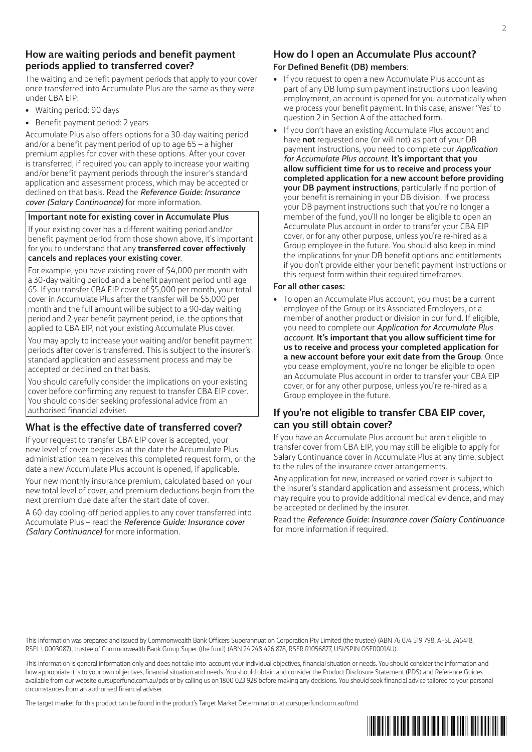## **How are waiting periods and benefit payment periods applied to transferred cover?**

The waiting and benefit payment periods that apply to your cover once transferred into Accumulate Plus are the same as they were under CBA EIP:

- Waiting period: 90 days
- Benefit payment period: 2 years

Accumulate Plus also offers options for a 30-day waiting period and/or a benefit payment period of up to age 65 – a higher premium applies for cover with these options. After your cover is transferred, if required you can apply to increase your waiting and/or benefit payment periods through the insurer's standard application and assessment process, which may be accepted or declined on that basis. Read the *Reference Guide: Insurance cover (Salary Continuance)* for more information.

#### **Important note for existing cover in Accumulate Plus**

If your existing cover has a different waiting period and/or benefit payment period from those shown above, it's important for you to understand that any **transferred cover effectively cancels and replaces your existing cover**.

For example, you have existing cover of \$4,000 per month with a 30-day waiting period and a benefit payment period until age 65. If you transfer CBA EIP cover of \$5,000 per month, your total cover in Accumulate Plus after the transfer will be \$5,000 per month and the full amount will be subject to a 90-day waiting period and 2-year benefit payment period, i.e. the options that applied to CBA EIP, not your existing Accumulate Plus cover.

You may apply to increase your waiting and/or benefit payment periods after cover is transferred. This is subject to the insurer's standard application and assessment process and may be accepted or declined on that basis.

You should carefully consider the implications on your existing cover before confirming any request to transfer CBA EIP cover. You should consider seeking professional advice from an authorised financial adviser.

## **What is the effective date of transferred cover?**

If your request to transfer CBA EIP cover is accepted, your new level of cover begins as at the date the Accumulate Plus administration team receives this completed request form, or the date a new Accumulate Plus account is opened, if applicable.

Your new monthly insurance premium, calculated based on your new total level of cover, and premium deductions begin from the next premium due date after the start date of cover.

A 60-day cooling-off period applies to any cover transferred into Accumulate Plus – read the *Reference Guide: Insurance cover (Salary Continuance)* for more information.

## **How do I open an Accumulate Plus account? For Defined Benefit (DB) members**:

- If you request to open a new Accumulate Plus account as part of any DB lump sum payment instructions upon leaving employment, an account is opened for you automatically when we process your benefit payment. In this case, answer 'Yes' to question 2 in Section A of the attached form.
- If you don't have an existing Accumulate Plus account and have **not** requested one (or will not) as part of your DB payment instructions, you need to complete our *Application for Accumulate Plus account*. **It's important that you allow sufficient time for us to receive and process your completed application for a new account before providing your DB payment instructions**, particularly if no portion of your benefit is remaining in your DB division. If we process your DB payment instructions such that you're no longer a member of the fund, you'll no longer be eligible to open an Accumulate Plus account in order to transfer your CBA EIP cover, or for any other purpose, unless you're re-hired as a Group employee in the future. You should also keep in mind the implications for your DB benefit options and entitlements if you don't provide either your benefit payment instructions or this request form within their required timeframes.

#### **For all other cases:**

• To open an Accumulate Plus account, you must be a current employee of the Group or its Associated Employers, or a member of another product or division in our fund. If eligible, you need to complete our *Application for Accumulate Plus account*. **It's important that you allow sufficient time for us to receive and process your completed application for a new account before your exit date from the Group**. Once you cease employment, you're no longer be eligible to open an Accumulate Plus account in order to transfer your CBA EIP cover, or for any other purpose, unless you're re-hired as a Group employee in the future.

## **If you're not eligible to transfer CBA EIP cover, can you still obtain cover?**

If you have an Accumulate Plus account but aren't eligible to transfer cover from CBA EIP, you may still be eligible to apply for Salary Continuance cover in Accumulate Plus at any time, subject to the rules of the insurance cover arrangements.

Any application for new, increased or varied cover is subject to the insurer's standard application and assessment process, which may require you to provide additional medical evidence, and may be accepted or declined by the insurer.

Read the *Reference Guide: Insurance cover (Salary Continuance*  for more information if required.

This information was prepared and issued by Commonwealth Bank Officers Superannuation Corporation Pty Limited (the trustee) (ABN 76 074 519 798, AFSL 246418, RSEL L0003087), trustee of Commonwealth Bank Group Super (the fund) (ABN 24 248 426 878, RSER R1056877, USI/SPIN OSF0001AU).

This information is general information only and does not take into account your individual objectives, financial situation or needs. You should consider the information and how appropriate it is to your own objectives, financial situation and needs. You should obtain and consider the Product Disclosure Statement (PDS) and Reference Guides available from our website oursuperfund.com.au/pds or by calling us on 1800 023 928 before making any decisions. You should seek financial advice tailored to your personal circumstances from an authorised financial adviser.

The target market for this product can be found in the product's Target Market Determination at oursuperfund.com.au/tmd.

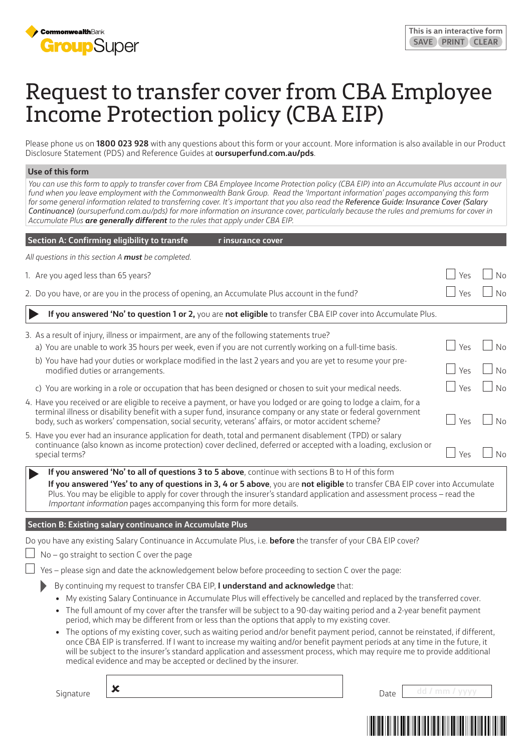

# Request to transfer cover from CBA Employee Income Protection policy (CBA EIP)

Please phone us on **1800 023 928** with any questions about this form or your account. More information is also available in our Product Disclosure Statement (PDS) and Reference Guides at **oursuperfund.com.au/pds**.

#### **Use of this form**

You can use this form to apply to transfer cover from CBA Employee Income Protection policy (CBA EIP) into an Accumulate Plus account in our *fund when you leave employment with the Commonwealth Bank Group. Read the 'Important information' pages accompanying this form for some general information related to transferring cover. It's important that you also read the Reference Guide: Insurance Cover (Salary Continuance) (oursuperfund.com.au/pds) for more information on insurance cover, particularly because the rules and premiums for cover in Accumulate Plus are generally different to the rules that apply under CBA EIP.* 

| Section A: Confirming eligibility to transfe<br>r insurance cover                                                                                                                                                                                                                                                                          |  |     |                |
|--------------------------------------------------------------------------------------------------------------------------------------------------------------------------------------------------------------------------------------------------------------------------------------------------------------------------------------------|--|-----|----------------|
| All questions in this section A must be completed.                                                                                                                                                                                                                                                                                         |  |     |                |
| 1. Are you aged less than 65 years?                                                                                                                                                                                                                                                                                                        |  | Yes | No             |
| 2. Do you have, or are you in the process of opening, an Accumulate Plus account in the fund?                                                                                                                                                                                                                                              |  | Yes |                |
| If you answered 'No' to question 1 or 2, you are not eligible to transfer CBA EIP cover into Accumulate Plus.                                                                                                                                                                                                                              |  |     |                |
| 3. As a result of injury, illness or impairment, are any of the following statements true?                                                                                                                                                                                                                                                 |  |     |                |
| a) You are unable to work 35 hours per week, even if you are not currently working on a full-time basis.                                                                                                                                                                                                                                   |  | Yes | No             |
| b) You have had your duties or workplace modified in the last 2 years and you are yet to resume your pre-<br>modified duties or arrangements.                                                                                                                                                                                              |  | Yes | No             |
| c) You are working in a role or occupation that has been designed or chosen to suit your medical needs.                                                                                                                                                                                                                                    |  | Yes | N <sub>0</sub> |
| 4. Have you received or are eligible to receive a payment, or have you lodged or are going to lodge a claim, for a<br>terminal illness or disability benefit with a super fund, insurance company or any state or federal government<br>body, such as workers' compensation, social security, veterans' affairs, or motor accident scheme? |  | Yes | N <sub>0</sub> |
| 5. Have you ever had an insurance application for death, total and permanent disablement (TPD) or salary<br>continuance (also known as income protection) cover declined, deferred or accepted with a loading, exclusion or<br>special terms?                                                                                              |  | Yes | N <sub>0</sub> |
| If you answered 'No' to all of questions 3 to 5 above, continue with sections B to H of this form                                                                                                                                                                                                                                          |  |     |                |
| If you answered 'Yes' to any of questions in 3, 4 or 5 above, you are not eligible to transfer CBA EIP cover into Accumulate<br>Plus. You may be eligible to apply for cover through the insurer's standard application and assessment process - read the<br>Important information pages accompanying this form for more details.          |  |     |                |

#### **Section B: Existing salary continuance in Accumulate Plus**

Do you have any existing Salary Continuance in Accumulate Plus, i.e. **before** the transfer of your CBA EIP cover?

 $\Box$  No – go straight to section C over the page

Yes – please sign and date the acknowledgement below before proceeding to section C over the page:

- By continuing my request to transfer CBA EIP, **I understand and acknowledge** that:
- My existing Salary Continuance in Accumulate Plus will effectively be cancelled and replaced by the transferred cover.
- The full amount of my cover after the transfer will be subject to a 90-day waiting period and a 2-year benefit payment period, which may be different from or less than the options that apply to my existing cover.
- The options of my existing cover, such as waiting period and/or benefit payment period, cannot be reinstated, if different, once CBA EIP is transferred. If I want to increase my waiting and/or benefit payment periods at any time in the future, it will be subject to the insurer's standard application and assessment process, which may require me to provide additional medical evidence and may be accepted or declined by the insurer.

Signature **X Date** dd / mm / yyyy

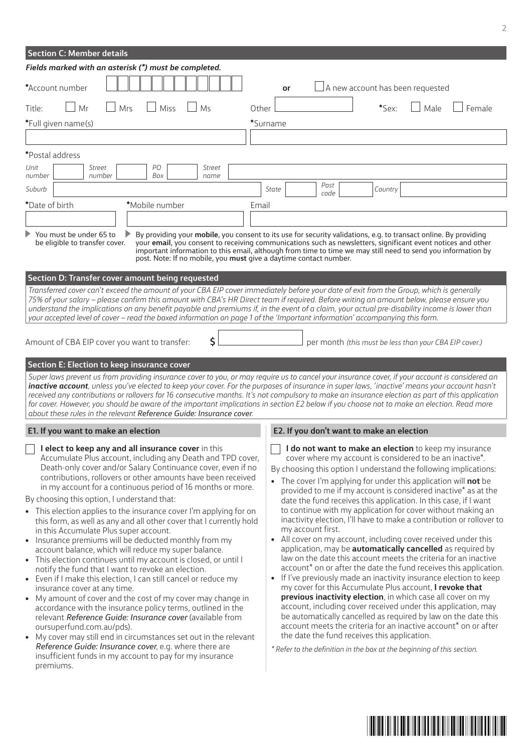| <b>Section C: Member details</b>                                                                                                                                                                                                                                                                                                                                                                                                                                                                                                                                                                                                                                                                                                                                                                                                                                                                                                                                                                                                                                                                                                                                                                                                                                                                                                                 |                                                                                                                                                                                                                                                                                                                                                                                                                                                                                                                                                                                                                                                                                                                                                                                                                                                                                                                                                                                                                                                                                                                                                                                                                                                                                                                                                                             |  |  |  |
|--------------------------------------------------------------------------------------------------------------------------------------------------------------------------------------------------------------------------------------------------------------------------------------------------------------------------------------------------------------------------------------------------------------------------------------------------------------------------------------------------------------------------------------------------------------------------------------------------------------------------------------------------------------------------------------------------------------------------------------------------------------------------------------------------------------------------------------------------------------------------------------------------------------------------------------------------------------------------------------------------------------------------------------------------------------------------------------------------------------------------------------------------------------------------------------------------------------------------------------------------------------------------------------------------------------------------------------------------|-----------------------------------------------------------------------------------------------------------------------------------------------------------------------------------------------------------------------------------------------------------------------------------------------------------------------------------------------------------------------------------------------------------------------------------------------------------------------------------------------------------------------------------------------------------------------------------------------------------------------------------------------------------------------------------------------------------------------------------------------------------------------------------------------------------------------------------------------------------------------------------------------------------------------------------------------------------------------------------------------------------------------------------------------------------------------------------------------------------------------------------------------------------------------------------------------------------------------------------------------------------------------------------------------------------------------------------------------------------------------------|--|--|--|
| Fields marked with an asterisk (*) must be completed.                                                                                                                                                                                                                                                                                                                                                                                                                                                                                                                                                                                                                                                                                                                                                                                                                                                                                                                                                                                                                                                                                                                                                                                                                                                                                            |                                                                                                                                                                                                                                                                                                                                                                                                                                                                                                                                                                                                                                                                                                                                                                                                                                                                                                                                                                                                                                                                                                                                                                                                                                                                                                                                                                             |  |  |  |
| *Account number                                                                                                                                                                                                                                                                                                                                                                                                                                                                                                                                                                                                                                                                                                                                                                                                                                                                                                                                                                                                                                                                                                                                                                                                                                                                                                                                  | A new account has been requested<br>or                                                                                                                                                                                                                                                                                                                                                                                                                                                                                                                                                                                                                                                                                                                                                                                                                                                                                                                                                                                                                                                                                                                                                                                                                                                                                                                                      |  |  |  |
| Mr<br>Mrs<br>Miss<br>Ms<br>Title:                                                                                                                                                                                                                                                                                                                                                                                                                                                                                                                                                                                                                                                                                                                                                                                                                                                                                                                                                                                                                                                                                                                                                                                                                                                                                                                | *Sex:<br>Male<br>Female<br>Other                                                                                                                                                                                                                                                                                                                                                                                                                                                                                                                                                                                                                                                                                                                                                                                                                                                                                                                                                                                                                                                                                                                                                                                                                                                                                                                                            |  |  |  |
| *Full given name(s)                                                                                                                                                                                                                                                                                                                                                                                                                                                                                                                                                                                                                                                                                                                                                                                                                                                                                                                                                                                                                                                                                                                                                                                                                                                                                                                              | *Surname                                                                                                                                                                                                                                                                                                                                                                                                                                                                                                                                                                                                                                                                                                                                                                                                                                                                                                                                                                                                                                                                                                                                                                                                                                                                                                                                                                    |  |  |  |
|                                                                                                                                                                                                                                                                                                                                                                                                                                                                                                                                                                                                                                                                                                                                                                                                                                                                                                                                                                                                                                                                                                                                                                                                                                                                                                                                                  |                                                                                                                                                                                                                                                                                                                                                                                                                                                                                                                                                                                                                                                                                                                                                                                                                                                                                                                                                                                                                                                                                                                                                                                                                                                                                                                                                                             |  |  |  |
| *Postal address                                                                                                                                                                                                                                                                                                                                                                                                                                                                                                                                                                                                                                                                                                                                                                                                                                                                                                                                                                                                                                                                                                                                                                                                                                                                                                                                  |                                                                                                                                                                                                                                                                                                                                                                                                                                                                                                                                                                                                                                                                                                                                                                                                                                                                                                                                                                                                                                                                                                                                                                                                                                                                                                                                                                             |  |  |  |
| Unit<br>Street<br>PО<br><b>Street</b><br>number<br>number<br>Box<br>name                                                                                                                                                                                                                                                                                                                                                                                                                                                                                                                                                                                                                                                                                                                                                                                                                                                                                                                                                                                                                                                                                                                                                                                                                                                                         |                                                                                                                                                                                                                                                                                                                                                                                                                                                                                                                                                                                                                                                                                                                                                                                                                                                                                                                                                                                                                                                                                                                                                                                                                                                                                                                                                                             |  |  |  |
| Suburb                                                                                                                                                                                                                                                                                                                                                                                                                                                                                                                                                                                                                                                                                                                                                                                                                                                                                                                                                                                                                                                                                                                                                                                                                                                                                                                                           | Post<br>State<br>Country                                                                                                                                                                                                                                                                                                                                                                                                                                                                                                                                                                                                                                                                                                                                                                                                                                                                                                                                                                                                                                                                                                                                                                                                                                                                                                                                                    |  |  |  |
| *Date of birth<br>*Mobile number                                                                                                                                                                                                                                                                                                                                                                                                                                                                                                                                                                                                                                                                                                                                                                                                                                                                                                                                                                                                                                                                                                                                                                                                                                                                                                                 | code<br>Email                                                                                                                                                                                                                                                                                                                                                                                                                                                                                                                                                                                                                                                                                                                                                                                                                                                                                                                                                                                                                                                                                                                                                                                                                                                                                                                                                               |  |  |  |
|                                                                                                                                                                                                                                                                                                                                                                                                                                                                                                                                                                                                                                                                                                                                                                                                                                                                                                                                                                                                                                                                                                                                                                                                                                                                                                                                                  |                                                                                                                                                                                                                                                                                                                                                                                                                                                                                                                                                                                                                                                                                                                                                                                                                                                                                                                                                                                                                                                                                                                                                                                                                                                                                                                                                                             |  |  |  |
| You must be under 65 to<br>be eligible to transfer cover.<br>post. Note: If no mobile, you must give a daytime contact number.                                                                                                                                                                                                                                                                                                                                                                                                                                                                                                                                                                                                                                                                                                                                                                                                                                                                                                                                                                                                                                                                                                                                                                                                                   | By providing your mobile, you consent to its use for security validations, e.g. to transact online. By providing<br>your email, you consent to receiving communications such as newsletters, significant event notices and other<br>important information to this email, although from time to time we may still need to send you information by                                                                                                                                                                                                                                                                                                                                                                                                                                                                                                                                                                                                                                                                                                                                                                                                                                                                                                                                                                                                                            |  |  |  |
| <b>Section D: Transfer cover amount being requested</b>                                                                                                                                                                                                                                                                                                                                                                                                                                                                                                                                                                                                                                                                                                                                                                                                                                                                                                                                                                                                                                                                                                                                                                                                                                                                                          |                                                                                                                                                                                                                                                                                                                                                                                                                                                                                                                                                                                                                                                                                                                                                                                                                                                                                                                                                                                                                                                                                                                                                                                                                                                                                                                                                                             |  |  |  |
| Transferred cover can't exceed the amount of your CBA EIP cover immediately before your date of exit from the Group, which is generally<br>75% of your salary – please confirm this amount with CBA's HR Direct team if required. Before writing an amount below, please ensure you<br>understand the implications on any benefit payable and premiums if, in the event of a claim, your actual pre-disability income is lower than<br>your accepted level of cover - read the boxed information on page 1 of the 'Important information' accompanying this form.                                                                                                                                                                                                                                                                                                                                                                                                                                                                                                                                                                                                                                                                                                                                                                                |                                                                                                                                                                                                                                                                                                                                                                                                                                                                                                                                                                                                                                                                                                                                                                                                                                                                                                                                                                                                                                                                                                                                                                                                                                                                                                                                                                             |  |  |  |
| \$<br>Amount of CBA EIP cover you want to transfer:                                                                                                                                                                                                                                                                                                                                                                                                                                                                                                                                                                                                                                                                                                                                                                                                                                                                                                                                                                                                                                                                                                                                                                                                                                                                                              | per month (this must be less than your CBA EIP cover.)                                                                                                                                                                                                                                                                                                                                                                                                                                                                                                                                                                                                                                                                                                                                                                                                                                                                                                                                                                                                                                                                                                                                                                                                                                                                                                                      |  |  |  |
| about these rules in the relevant Reference Guide: Insurance cover.                                                                                                                                                                                                                                                                                                                                                                                                                                                                                                                                                                                                                                                                                                                                                                                                                                                                                                                                                                                                                                                                                                                                                                                                                                                                              | Super laws prevent us from providing insurance cover to you, or may require us to cancel your insurance cover, if your account is considered an<br>inactive account, unless you've elected to keep your cover. For the purposes of insurance in super laws, 'inactive' means your account hasn't<br>received any contributions or rollovers for 16 consecutive months. It's not compulsory to make an insurance election as part of this application<br>for cover. However, you should be aware of the important implications in section E2 below if you choose not to make an election. Read more                                                                                                                                                                                                                                                                                                                                                                                                                                                                                                                                                                                                                                                                                                                                                                          |  |  |  |
| E1. If you want to make an election                                                                                                                                                                                                                                                                                                                                                                                                                                                                                                                                                                                                                                                                                                                                                                                                                                                                                                                                                                                                                                                                                                                                                                                                                                                                                                              | E2. If you don't want to make an election                                                                                                                                                                                                                                                                                                                                                                                                                                                                                                                                                                                                                                                                                                                                                                                                                                                                                                                                                                                                                                                                                                                                                                                                                                                                                                                                   |  |  |  |
| I elect to keep any and all insurance cover in this<br>Accumulate Plus account, including any Death and TPD cover,<br>Death-only cover and/or Salary Continuance cover, even if no<br>contributions, rollovers or other amounts have been received<br>in my account for a continuous period of 16 months or more.<br>By choosing this option, I understand that:<br>• This election applies to the insurance cover I'm applying for on<br>this form, as well as any and all other cover that I currently hold<br>in this Accumulate Plus super account.<br>Insurance premiums will be deducted monthly from my<br>$\bullet$<br>account balance, which will reduce my super balance.<br>• This election continues until my account is closed, or until I<br>notify the fund that I want to revoke an election.<br>• Even if I make this election, I can still cancel or reduce my<br>insurance cover at any time.<br>• My amount of cover and the cost of my cover may change in<br>accordance with the insurance policy terms, outlined in the<br>relevant Reference Guide: Insurance cover (available from<br>oursuperfund.com.au/pds).<br>• My cover may still end in circumstances set out in the relevant<br>Reference Guide: Insurance cover, e.g. where there are<br>insufficient funds in my account to pay for my insurance<br>premiums. | I do not want to make an election to keep my insurance<br>cover where my account is considered to be an inactive*.<br>By choosing this option I understand the following implications:<br>• The cover I'm applying for under this application will not be<br>provided to me if my account is considered inactive* as at the<br>date the fund receives this application. In this case, if I want<br>to continue with my application for cover without making an<br>inactivity election, I'll have to make a contribution or rollover to<br>my account first.<br>• All cover on my account, including cover received under this<br>application, may be <b>automatically cancelled</b> as required by<br>law on the date this account meets the criteria for an inactive<br>account* on or after the date the fund receives this application.<br>• If I've previously made an inactivity insurance election to keep<br>my cover for this Accumulate Plus account, I revoke that<br>previous inactivity election, in which case all cover on my<br>account, including cover received under this application, may<br>be automatically cancelled as required by law on the date this<br>account meets the criteria for an inactive account* on or after<br>the date the fund receives this application.<br>* Refer to the definition in the box at the beginning of this section. |  |  |  |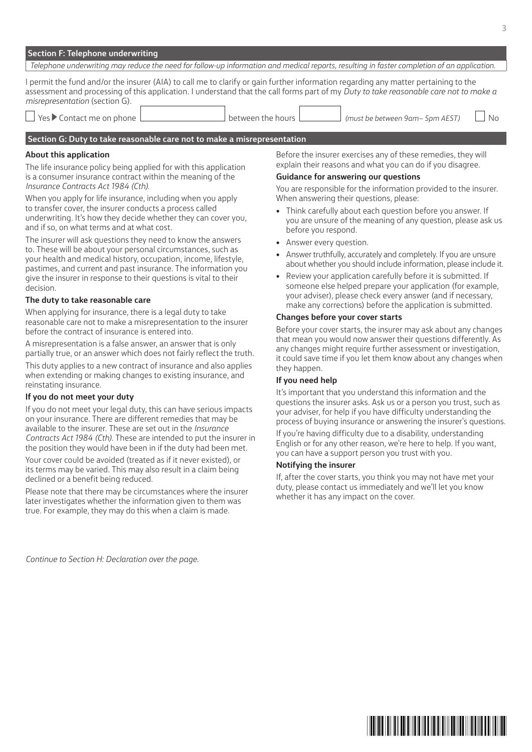|  | Section F: Telephone underwriting |  |
|--|-----------------------------------|--|
|  |                                   |  |

| Telephone underwriting may reduce the need for follow-up information and medical reports, resulting in faster completion of an application.                                                                                                                                                                    |                                                                                                                                                                                                                                               |  |  |  |  |
|----------------------------------------------------------------------------------------------------------------------------------------------------------------------------------------------------------------------------------------------------------------------------------------------------------------|-----------------------------------------------------------------------------------------------------------------------------------------------------------------------------------------------------------------------------------------------|--|--|--|--|
| I permit the fund and/or the insurer (AIA) to call me to clarify or gain further information regarding any matter pertaining to the<br>assessment and processing of this application. I understand that the call forms part of my Duty to take reasonable care not to make a<br>misrepresentation (section G). |                                                                                                                                                                                                                                               |  |  |  |  |
| $\Box$ Yes $\blacktriangleright$ Contact me on phone $\Box$                                                                                                                                                                                                                                                    | N <sub>0</sub><br>(must be between 9am- 5pm AEST)<br>between the hours l                                                                                                                                                                      |  |  |  |  |
| Section G: Duty to take reasonable care not to make a misrepresentation                                                                                                                                                                                                                                        |                                                                                                                                                                                                                                               |  |  |  |  |
| About this application<br>The life insurance policy being applied for with this application<br>is a consumer insurance contract within the meaning of the<br>Insurance Contracts Act 1984 (Cth).                                                                                                               | Before the insurer exercises any of these remedies, they will<br>explain their reasons and what you can do if you disagree.<br><b>Guidance for answering our questions</b><br>You are responsible for the information provided to the insurer |  |  |  |  |

When you apply for life insurance, including when you apply to transfer cover, the insurer conducts a process called underwriting. It's how they decide whether they can cover you, and if so, on what terms and at what cost.

The insurer will ask questions they need to know the answers to. These will be about your personal circumstances, such as your health and medical history, occupation, income, lifestyle, pastimes, and current and past insurance. The information you give the insurer in response to their questions is vital to their decision.

#### **The duty to take reasonable care**

When applying for insurance, there is a legal duty to take reasonable care not to make a misrepresentation to the insurer before the contract of insurance is entered into.

A misrepresentation is a false answer, an answer that is only partially true, or an answer which does not fairly reflect the truth.

This duty applies to a new contract of insurance and also applies when extending or making changes to existing insurance, and reinstating insurance.

#### **If you do not meet your duty**

If you do not meet your legal duty, this can have serious impacts on your insurance. There are different remedies that may be available to the insurer. These are set out in the *Insurance Contracts Act 1984 (Cth)*. These are intended to put the insurer in the position they would have been in if the duty had been met.

Your cover could be avoided (treated as if it never existed), or its terms may be varied. This may also result in a claim being declined or a benefit being reduced.

Please note that there may be circumstances where the insurer later investigates whether the information given to them was true. For example, they may do this when a claim is made.

You are responsible for the information provided to the insurer. When answering their questions, please:

- Think carefully about each question before you answer. If you are unsure of the meaning of any question, please ask us before you respond.
- Answer every question.
- Answer truthfully, accurately and completely. If you are unsure about whether you should include information, please include it.
- Review your application carefully before it is submitted. If someone else helped prepare your application (for example, your adviser), please check every answer (and if necessary, make any corrections) before the application is submitted.

#### **Changes before your cover starts**

Before your cover starts, the insurer may ask about any changes that mean you would now answer their questions differently. As any changes might require further assessment or investigation, it could save time if you let them know about any changes when they happen.

#### **If you need help**

It's important that you understand this information and the questions the insurer asks. Ask us or a person you trust, such as your adviser, for help if you have difficulty understanding the process of buying insurance or answering the insurer's questions.

If you're having difficulty due to a disability, understanding English or for any other reason, we're here to help. If you want, you can have a support person you trust with you.

#### **Notifying the insurer**

If, after the cover starts, you think you may not have met your duty, please contact us immediately and we'll let you know whether it has any impact on the cover.

*Continue to Section H: Declaration over the page.*